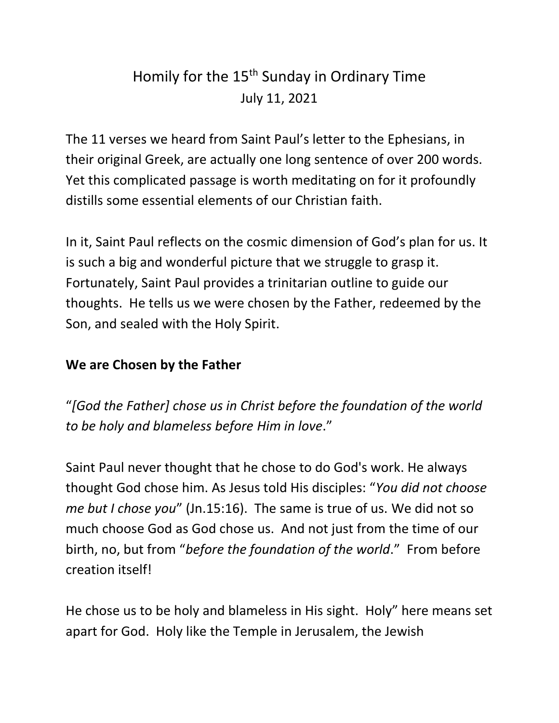## Homily for the 15<sup>th</sup> Sunday in Ordinary Time July 11, 2021

The 11 verses we heard from Saint Paul's letter to the Ephesians, in their original Greek, are actually one long sentence of over 200 words. Yet this complicated passage is worth meditating on for it profoundly distills some essential elements of our Christian faith.

In it, Saint Paul reflects on the cosmic dimension of God's plan for us. It is such a big and wonderful picture that we struggle to grasp it. Fortunately, Saint Paul provides a trinitarian outline to guide our thoughts. He tells us we were chosen by the Father, redeemed by the Son, and sealed with the Holy Spirit.

## **We are Chosen by the Father**

"*[God the Father] chose us in Christ before the foundation of the world to be holy and blameless before Him in love*."

Saint Paul never thought that he chose to do God's work. He always thought God chose him. As Jesus told His disciples: "*You did not choose me but I chose you*" (Jn.15:16). The same is true of us. We did not so much choose God as God chose us. And not just from the time of our birth, no, but from "*before the foundation of the world*." From before creation itself!

He chose us to be holy and blameless in His sight. Holy" here means set apart for God. Holy like the Temple in Jerusalem, the Jewish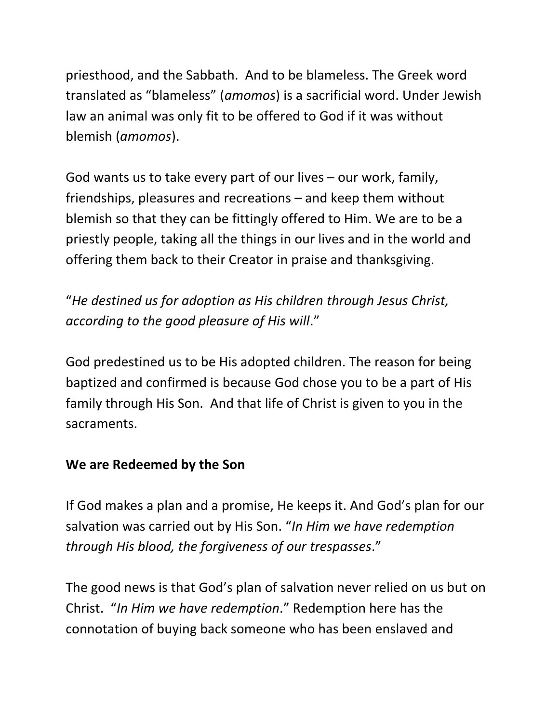priesthood, and the Sabbath. And to be blameless. The Greek word translated as "blameless" (*amomos*) is a sacrificial word. Under Jewish law an animal was only fit to be offered to God if it was without blemish (*amomos*).

God wants us to take every part of our lives – our work, family, friendships, pleasures and recreations – and keep them without blemish so that they can be fittingly offered to Him. We are to be a priestly people, taking all the things in our lives and in the world and offering them back to their Creator in praise and thanksgiving.

"*He destined us for adoption as His children through Jesus Christ, according to the good pleasure of His will*."

God predestined us to be His adopted children. The reason for being baptized and confirmed is because God chose you to be a part of His family through His Son. And that life of Christ is given to you in the sacraments.

## **We are Redeemed by the Son**

If God makes a plan and a promise, He keeps it. And God's plan for our salvation was carried out by His Son. "*In Him we have redemption through His blood, the forgiveness of our trespasses*."

The good news is that God's plan of salvation never relied on us but on Christ. "*In Him we have redemption*." Redemption here has the connotation of buying back someone who has been enslaved and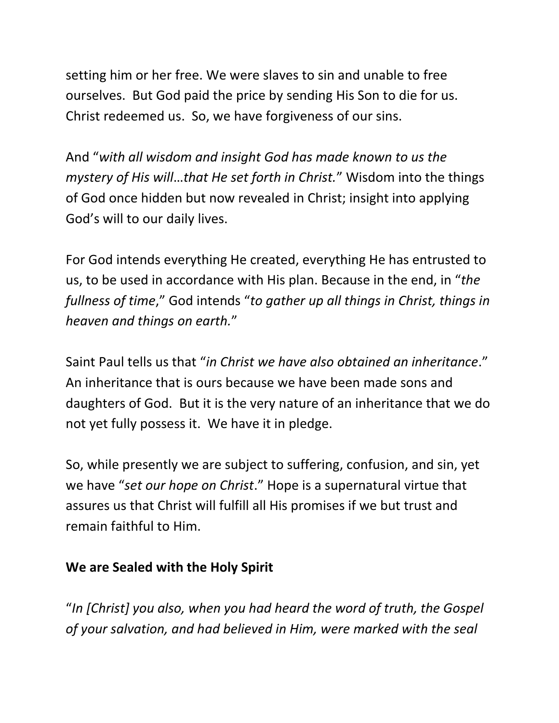setting him or her free. We were slaves to sin and unable to free ourselves. But God paid the price by sending His Son to die for us. Christ redeemed us. So, we have forgiveness of our sins.

And "*with all wisdom and insight God has made known to us the mystery of His will*…*that He set forth in Christ.*" Wisdom into the things of God once hidden but now revealed in Christ; insight into applying God's will to our daily lives.

For God intends everything He created, everything He has entrusted to us, to be used in accordance with His plan. Because in the end, in "*the fullness of time*," God intends "*to gather up all things in Christ, things in heaven and things on earth.*"

Saint Paul tells us that "*in Christ we have also obtained an inheritance*." An inheritance that is ours because we have been made sons and daughters of God. But it is the very nature of an inheritance that we do not yet fully possess it. We have it in pledge.

So, while presently we are subject to suffering, confusion, and sin, yet we have "*set our hope on Christ*." Hope is a supernatural virtue that assures us that Christ will fulfill all His promises if we but trust and remain faithful to Him.

## **We are Sealed with the Holy Spirit**

"*In [Christ] you also, when you had heard the word of truth, the Gospel of your salvation, and had believed in Him, were marked with the seal*